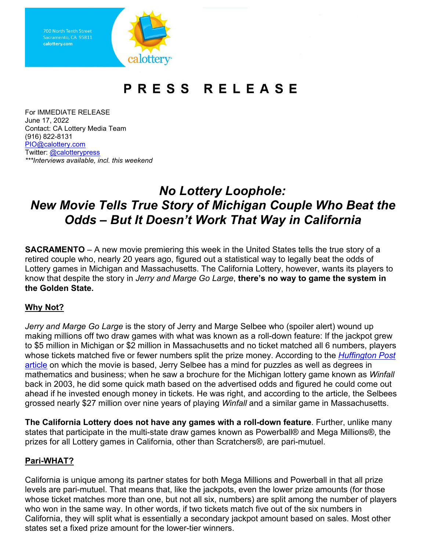Sacramento, CA 95811 calottery.com lottery·

# **PRESS RELEASE**

 For IMMEDIATE RELEASE June 17, 2022 Contact: CA Lottery Media Team (916) 822-8131 [PIO@calottery.com](mailto:PIO@calottery.com)  Twitter: @calotterypress *\*\*\*Interviews available, incl. this weekend* 

## *Odds – But It Doesn't Work That Way in California No Lottery Loophole: New Movie Tells True Story of Michigan Couple Who Beat the*

 **SACRAMENTO** – A new movie premiering this week in the United States tells the true story of a retired couple who, nearly 20 years ago, figured out a statistical way to legally beat the odds of Lottery games in Michigan and Massachusetts. The California Lottery, however, wants its players to know that despite the story in *Jerry and Marge Go Large*, **there's no way to game the system in the Golden State.** 

### **Why Not?**

 making millions off two draw games with what was known as a roll-down feature: If the jackpot grew whose tickets matched five or fewer numbers split the prize money. According to the *[Huffington Post](https://highline.huffingtonpost.com/articles/en/lotto-winners/)*  <u>article</u> on which the movie is based, Jerry Selbee has a mind for puzzles as well as degrees in grossed nearly \$27 million over nine years of playing *Winfall* and a similar game in Massachusetts. *Jerry and Marge Go Large* is the story of Jerry and Marge Selbee who (spoiler alert) wound up to \$5 million in Michigan or \$2 million in Massachusetts and no ticket matched all 6 numbers, players mathematics and business; when he saw a brochure for the Michigan lottery game known as *Winfall*  back in 2003, he did some quick math based on the advertised odds and figured he could come out ahead if he invested enough money in tickets. He was right, and according to the article, the Selbees

 states that participate in the multi-state draw games known as Powerball® and Mega Millions®, the **The California Lottery does not have any games with a roll-down feature**. Further, unlike many prizes for all Lottery games in California, other than Scratchers®, are pari-mutuel.

#### **Pari-WHAT?**

 California is unique among its partner states for both Mega Millions and Powerball in that all prize whose ticket matches more than one, but not all six, numbers) are split among the number of players who won in the same way. In other words, if two tickets match five out of the six numbers in California, they will split what is essentially a secondary jackpot amount based on sales. Most other levels are pari-mutuel. That means that, like the jackpots, even the lower prize amounts (for those states set a fixed prize amount for the lower-tier winners.